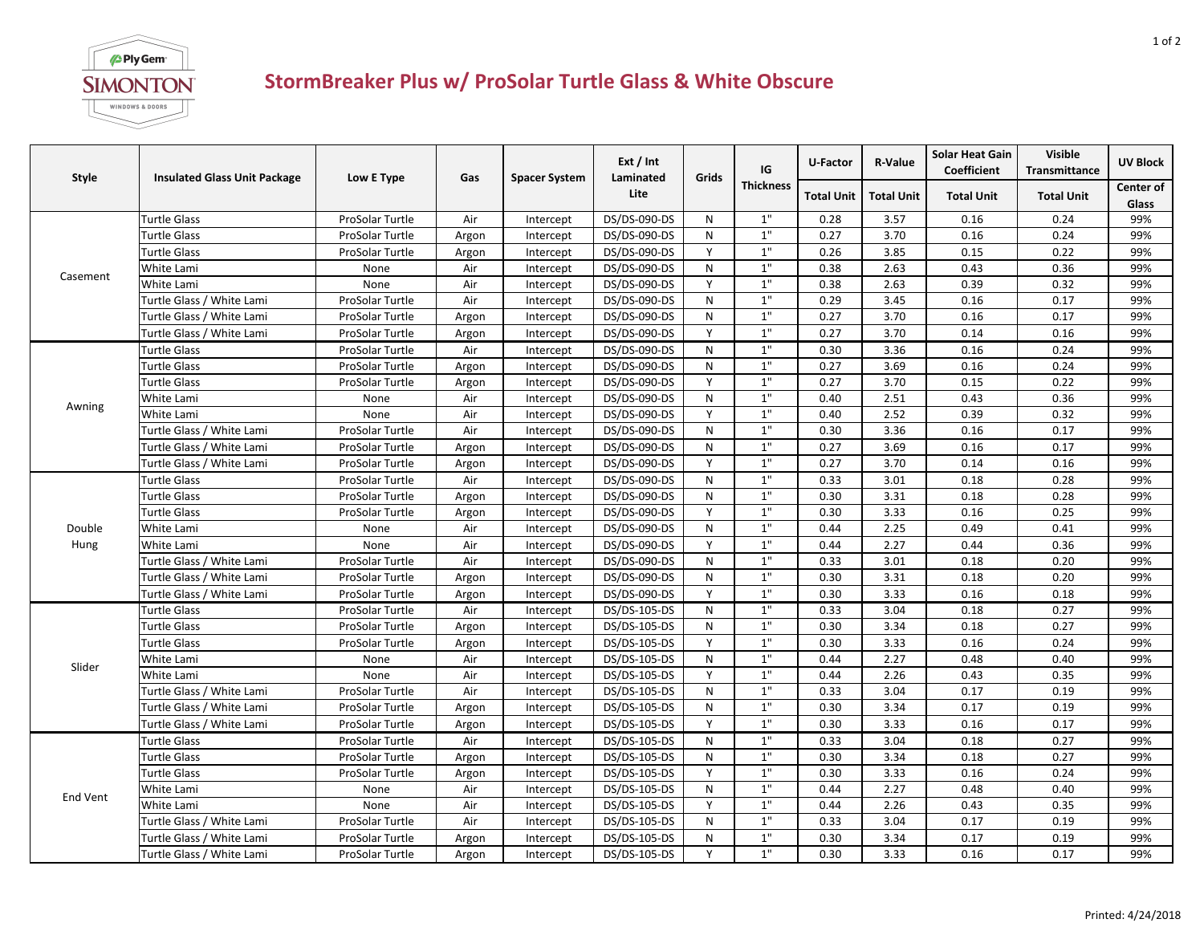

## **StormBreaker Plus w/ ProSolar Turtle Glass & White Obscure**

| <b>Style</b>    | <b>Insulated Glass Unit Package</b> | Low E Type      | Gas   | <b>Spacer System</b> | Ext / Int<br>Laminated<br>Lite | Grids     | IG<br><b>Thickness</b> | U-Factor          | <b>R-Value</b>    | <b>Solar Heat Gain</b><br>Coefficient | <b>Visible</b><br><b>Transmittance</b> | <b>UV Block</b> |
|-----------------|-------------------------------------|-----------------|-------|----------------------|--------------------------------|-----------|------------------------|-------------------|-------------------|---------------------------------------|----------------------------------------|-----------------|
|                 |                                     |                 |       |                      |                                |           |                        | <b>Total Unit</b> | <b>Total Unit</b> | <b>Total Unit</b>                     | <b>Total Unit</b>                      | Center of       |
|                 |                                     |                 |       |                      |                                |           |                        |                   |                   |                                       |                                        | Glass           |
| Casement        | Turtle Glass                        | ProSolar Turtle | Air   | Intercept            | DS/DS-090-DS                   | N         | 1"                     | 0.28              | 3.57              | 0.16                                  | 0.24                                   | 99%             |
|                 | Turtle Glass                        | ProSolar Turtle | Argon | Intercept            | DS/DS-090-DS                   | N         | 1"                     | 0.27              | 3.70              | 0.16                                  | 0.24                                   | 99%             |
|                 | Turtle Glass                        | ProSolar Turtle | Argon | Intercept            | DS/DS-090-DS                   | Y         | $1"$                   | 0.26              | 3.85              | 0.15                                  | 0.22                                   | 99%             |
|                 | White Lami                          | None            | Air   | Intercept            | DS/DS-090-DS                   | ${\sf N}$ | $1\mathrm{^{\circ}}$   | 0.38              | 2.63              | 0.43                                  | 0.36                                   | 99%             |
|                 | White Lami                          | None            | Air   | Intercept            | DS/DS-090-DS                   | Y         | $1"$                   | 0.38              | 2.63              | 0.39                                  | 0.32                                   | 99%             |
|                 | Turtle Glass / White Lami           | ProSolar Turtle | Air   | Intercept            | DS/DS-090-DS                   | N         | 1"                     | 0.29              | 3.45              | 0.16                                  | 0.17                                   | 99%             |
|                 | Turtle Glass / White Lami           | ProSolar Turtle | Argon | Intercept            | DS/DS-090-DS                   | N         | $1\mathrm{^{\circ}}$   | 0.27              | 3.70              | 0.16                                  | 0.17                                   | 99%             |
|                 | Turtle Glass / White Lami           | ProSolar Turtle | Argon | Intercept            | DS/DS-090-DS                   | Y         | $1"$                   | 0.27              | 3.70              | 0.14                                  | 0.16                                   | 99%             |
| Awning          | Turtle Glass                        | ProSolar Turtle | Air   | Intercept            | DS/DS-090-DS                   | N         | $1"$                   | 0.30              | 3.36              | 0.16                                  | 0.24                                   | 99%             |
|                 | Turtle Glass                        | ProSolar Turtle | Argon | Intercept            | DS/DS-090-DS                   | N         | 1"                     | 0.27              | 3.69              | 0.16                                  | 0.24                                   | 99%             |
|                 | Turtle Glass                        | ProSolar Turtle | Argon | Intercept            | DS/DS-090-DS                   | Y         | $1\mathrm{^{\circ}}$   | 0.27              | 3.70              | 0.15                                  | 0.22                                   | 99%             |
|                 | White Lami                          | None            | Air   | Intercept            | DS/DS-090-DS                   | N         | $1"$                   | 0.40              | 2.51              | 0.43                                  | 0.36                                   | 99%             |
|                 | White Lami                          | None            | Air   | Intercept            | DS/DS-090-DS                   | Y         | $1"$                   | 0.40              | 2.52              | 0.39                                  | 0.32                                   | 99%             |
|                 | Turtle Glass / White Lami           | ProSolar Turtle | Air   | Intercept            | DS/DS-090-DS                   | N         | 1"                     | 0.30              | 3.36              | 0.16                                  | 0.17                                   | 99%             |
|                 | Turtle Glass / White Lami           | ProSolar Turtle | Argon | Intercept            | DS/DS-090-DS                   | N         | 1"                     | 0.27              | 3.69              | 0.16                                  | 0.17                                   | 99%             |
|                 | Turtle Glass / White Lami           | ProSolar Turtle | Argon | Intercept            | DS/DS-090-DS                   | Y         | 1"                     | 0.27              | 3.70              | 0.14                                  | 0.16                                   | 99%             |
|                 | <b>Turtle Glass</b>                 | ProSolar Turtle | Air   | Intercept            | DS/DS-090-DS                   | N         | $1"$                   | 0.33              | 3.01              | 0.18                                  | 0.28                                   | 99%             |
|                 | Turtle Glass                        | ProSolar Turtle | Argon | Intercept            | DS/DS-090-DS                   | N         | $1"$                   | 0.30              | 3.31              | 0.18                                  | 0.28                                   | 99%             |
|                 | Turtle Glass                        | ProSolar Turtle | Argon | Intercept            | DS/DS-090-DS                   | Y         | 1"                     | 0.30              | 3.33              | 0.16                                  | 0.25                                   | 99%             |
| Double          | White Lami                          | None            | Air   | Intercept            | DS/DS-090-DS                   | N         | 1"                     | 0.44              | 2.25              | 0.49                                  | 0.41                                   | 99%             |
| Hung            | White Lami                          | None            | Air   | Intercept            | DS/DS-090-DS                   | Y         | $1"$                   | 0.44              | 2.27              | 0.44                                  | 0.36                                   | 99%             |
|                 | Turtle Glass / White Lami           | ProSolar Turtle | Air   | Intercept            | DS/DS-090-DS                   | N         | $1\mathrm{''}$         | 0.33              | 3.01              | 0.18                                  | 0.20                                   | 99%             |
|                 | Turtle Glass / White Lami           | ProSolar Turtle | Argon | Intercept            | DS/DS-090-DS                   | N         | $1"$                   | 0.30              | 3.31              | 0.18                                  | 0.20                                   | 99%             |
|                 | Turtle Glass / White Lami           | ProSolar Turtle | Argon | Intercept            | DS/DS-090-DS                   | Y         | $1"$                   | 0.30              | 3.33              | 0.16                                  | 0.18                                   | 99%             |
|                 | Turtle Glass                        | ProSolar Turtle | Air   | Intercept            | DS/DS-105-DS                   | N         | 1"                     | 0.33              | 3.04              | 0.18                                  | 0.27                                   | 99%             |
|                 | <b>Turtle Glass</b>                 | ProSolar Turtle | Argon | Intercept            | DS/DS-105-DS                   | N         | $1"$                   | 0.30              | 3.34              | 0.18                                  | 0.27                                   | 99%             |
|                 | Turtle Glass                        | ProSolar Turtle | Argon | Intercept            | DS/DS-105-DS                   | Y         | $1"$                   | 0.30              | 3.33              | 0.16                                  | 0.24                                   | 99%             |
| Slider          | White Lami                          | None            | Air   | Intercept            | DS/DS-105-DS                   | N         | 1"                     | 0.44              | 2.27              | 0.48                                  | 0.40                                   | 99%             |
|                 | White Lami                          | None            | Air   | Intercept            | DS/DS-105-DS                   | Y         | 1"                     | 0.44              | 2.26              | 0.43                                  | 0.35                                   | 99%             |
|                 | Turtle Glass / White Lami           | ProSolar Turtle | Air   | Intercept            | DS/DS-105-DS                   | N         | 1"                     | 0.33              | 3.04              | 0.17                                  | 0.19                                   | 99%             |
|                 | Turtle Glass / White Lami           | ProSolar Turtle | Argon | Intercept            | DS/DS-105-DS                   | N         | 1"                     | 0.30              | 3.34              | 0.17                                  | 0.19                                   | 99%             |
|                 | Turtle Glass / White Lami           | ProSolar Turtle | Argon | Intercept            | DS/DS-105-DS                   | Y         | $1$ "                  | 0.30              | 3.33              | 0.16                                  | 0.17                                   | 99%             |
| <b>End Vent</b> | <b>Turtle Glass</b>                 | ProSolar Turtle | Air   | Intercept            | DS/DS-105-DS                   | ${\sf N}$ | $1\mathrm{^{\circ}}$   | 0.33              | 3.04              | 0.18                                  | 0.27                                   | 99%             |
|                 | <b>Turtle Glass</b>                 | ProSolar Turtle | Argon | Intercept            | DS/DS-105-DS                   | N         | $1"$                   | 0.30              | 3.34              | 0.18                                  | 0.27                                   | 99%             |
|                 | <b>Turtle Glass</b>                 | ProSolar Turtle | Argon | Intercept            | DS/DS-105-DS                   | Y         | $1\mathrm{^{\circ}}$   | 0.30              | 3.33              | 0.16                                  | 0.24                                   | 99%             |
|                 | White Lami                          | None            | Air   | Intercept            | DS/DS-105-DS                   | N         | 1"                     | 0.44              | 2.27              | 0.48                                  | 0.40                                   | 99%             |
|                 | White Lami                          | None            | Air   | Intercept            | DS/DS-105-DS                   | Y         | $1"$                   | 0.44              | 2.26              | 0.43                                  | 0.35                                   | 99%             |
|                 | Turtle Glass / White Lami           | ProSolar Turtle | Air   | Intercept            | DS/DS-105-DS                   | N         | $1"$                   | 0.33              | 3.04              | 0.17                                  | 0.19                                   | 99%             |
|                 | Turtle Glass / White Lami           | ProSolar Turtle | Argon | Intercept            | DS/DS-105-DS                   | N         | 1"                     | 0.30              | 3.34              | 0.17                                  | 0.19                                   | 99%             |
|                 | Turtle Glass / White Lami           | ProSolar Turtle | Argon | Intercept            | DS/DS-105-DS                   | Y         | $1"$                   | 0.30              | 3.33              | 0.16                                  | 0.17                                   | 99%             |